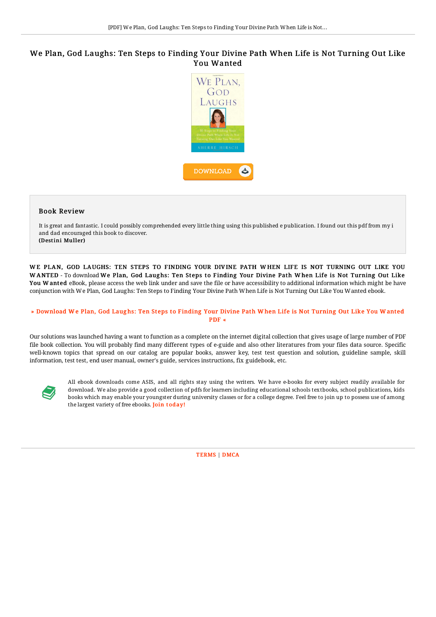## We Plan, God Laughs: Ten Steps to Finding Your Divine Path When Life is Not Turning Out Like You Wanted



## Book Review

It is great and fantastic. I could possibly comprehended every little thing using this published e publication. I found out this pdf from my i and dad encouraged this book to discover. (Destini Muller)

WE PLAN, GOD LAUGHS: TEN STEPS TO FINDING YOUR DIVINE PATH WHEN LIFE IS NOT TURNING OUT LIKE YOU WANTED - To download We Plan, God Laughs: Ten Steps to Finding Your Divine Path When Life is Not Turning Out Like You W anted eBook, please access the web link under and save the file or have accessibility to additional information which might be have conjunction with We Plan, God Laughs: Ten Steps to Finding Your Divine Path When Life is Not Turning Out Like You Wanted ebook.

## » [Download](http://almighty24.tech/we-plan-god-laughs-ten-steps-to-finding-your-div.html) We Plan, God Laughs: Ten Steps to Finding Your Divine Path When Life is Not Turning Out Like You Wanted PDF «

Our solutions was launched having a want to function as a complete on the internet digital collection that gives usage of large number of PDF file book collection. You will probably find many different types of e-guide and also other literatures from your files data source. Specific well-known topics that spread on our catalog are popular books, answer key, test test question and solution, guideline sample, skill information, test test, end user manual, owner's guide, services instructions, fix guidebook, etc.



All ebook downloads come ASIS, and all rights stay using the writers. We have e-books for every subject readily available for download. We also provide a good collection of pdfs for learners including educational schools textbooks, school publications, kids books which may enable your youngster during university classes or for a college degree. Feel free to join up to possess use of among the largest variety of free ebooks. Join t[oday!](http://almighty24.tech/we-plan-god-laughs-ten-steps-to-finding-your-div.html)